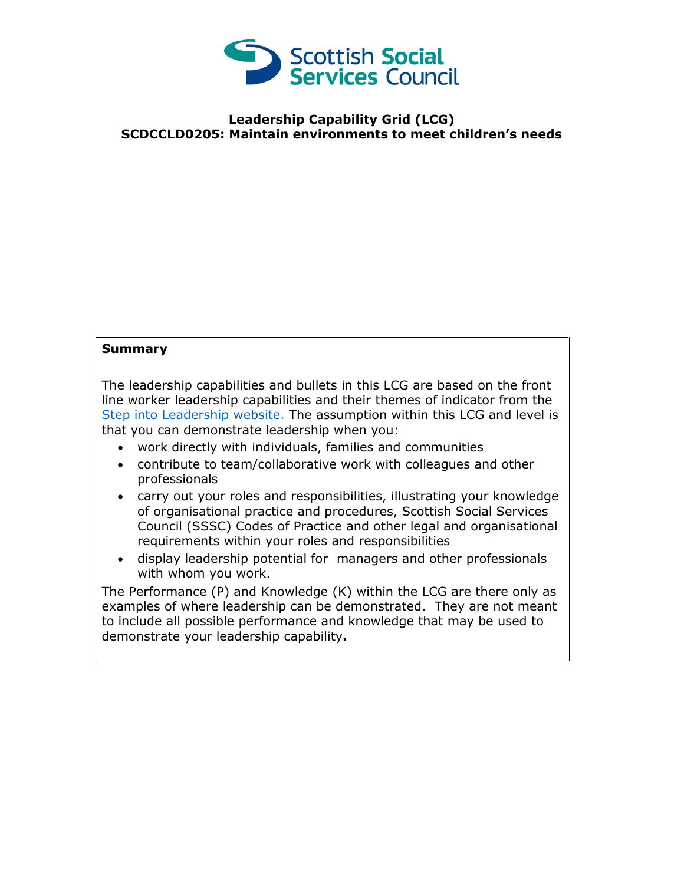

## **Leadership Capability Grid (LCG) SCDCCLD0205: Maintain environments to meet children's needs**

## **Summary**

The leadership capabilities and bullets in this LCG are based on the front line worker leadership capabilities and their themes of indicator from the [Step into Leadership website.](http://www.stepintoleadership.info/) The assumption within this LCG and level is that you can demonstrate leadership when you:

- work directly with individuals, families and communities
- contribute to team/collaborative work with colleagues and other professionals
- carry out your roles and responsibilities, illustrating your knowledge of organisational practice and procedures, Scottish Social Services Council (SSSC) Codes of Practice and other legal and organisational requirements within your roles and responsibilities
- display leadership potential for managers and other professionals with whom you work.

The Performance (P) and Knowledge (K) within the LCG are there only as examples of where leadership can be demonstrated. They are not meant to include all possible performance and knowledge that may be used to demonstrate your leadership capability**.**